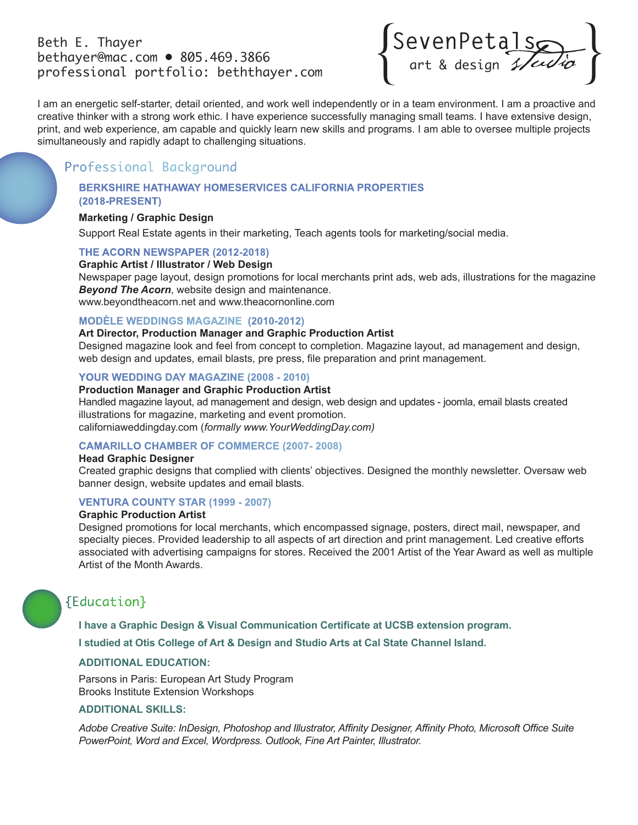### Beth E. Thayer bethayer@mac.com • 805.469.3866 professional portfolio: beththayer.com



I am an energetic self-starter, detail oriented, and work well independently or in a team environment. I am a proactive and creative thinker with a strong work ethic. I have experience successfully managing small teams. I have extensive design, print, and web experience, am capable and quickly learn new skills and programs. I am able to oversee multiple projects simultaneously and rapidly adapt to challenging situations.

## Professional Background

#### **BERKSHIRE HATHAWAY HOMESERVICES CALIFORNIA PROPERTIES (2018-PRESENT)**

#### **Marketing / Graphic Design**

Support Real Estate agents in their marketing, Teach agents tools for marketing/social media.

#### **THE ACORN NEWSPAPER (2012-2018)**

#### **Graphic Artist / Illustrator / Web Design**

Newspaper page layout, design promotions for local merchants print ads, web ads, illustrations for the magazine *Beyond The Acorn*, website design and maintenance. www.beyondtheacorn.net and www.theacornonline.com

#### **MODÈLE WEDDINGS MAGAZINE (2010-2012)**

**Art Director, Production Manager and Graphic Production Artist**

Designed magazine look and feel from concept to completion. Magazine layout, ad management and design, web design and updates, email blasts, pre press, file preparation and print management.

#### **YOUR WEDDING DAY MAGAZINE (2008 - 2010)**

#### **Production Manager and Graphic Production Artist**

Handled magazine layout, ad management and design, web design and updates - joomla, email blasts created illustrations for magazine, marketing and event promotion. californiaweddingday.com (*formally www.YourWeddingDay.com)*

#### **CAMARILLO CHAMBER OF COMMERCE (2007- 2008)**

#### **Head Graphic Designer**

Created graphic designs that complied with clients' objectives. Designed the monthly newsletter. Oversaw web banner design, website updates and email blasts.

#### **VENTURA COUNTY STAR (1999 - 2007)**

#### **Graphic Production Artist**

Designed promotions for local merchants, which encompassed signage, posters, direct mail, newspaper, and specialty pieces. Provided leadership to all aspects of art direction and print management. Led creative efforts associated with advertising campaigns for stores. Received the 2001 Artist of the Year Award as well as multiple Artist of the Month Awards.

# {Education}

**I have a Graphic Design & Visual Communication Certificate at UCSB extension program. I studied at Otis College of Art & Design and Studio Arts at Cal State Channel Island.**

#### **ADDITIONAL EDUCATION:**

Parsons in Paris: European Art Study Program Brooks Institute Extension Workshops

#### **ADDITIONAL SKILLS:**

*Adobe Creative Suite: InDesign, Photoshop and Illustrator, Affinity Designer, Affinity Photo, Microsoft Office Suite PowerPoint, Word and Excel, Wordpress. Outlook, Fine Art Painter, Illustrator.*